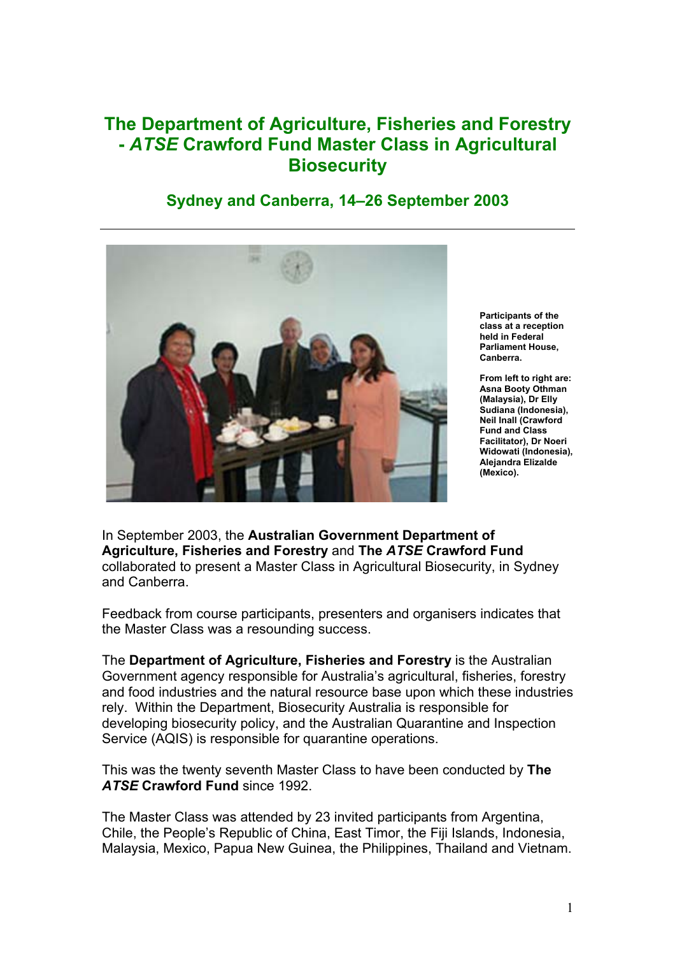## **The Department of Agriculture, Fisheries and Forestry -** *ATSE* **Crawford Fund Master Class in Agricultural Biosecurity**

## **Sydney and Canberra, 14–26 September 2003**



**Participants of the class at a reception held in Federal Parliament House, Canberra.**

**From left to right are: Asna Booty Othman (Malaysia), Dr Elly Sudiana (Indonesia), Neil Inall (Crawford Fund and Class Facilitator), Dr Noeri Widowati (Indonesia), Alejandra Elizalde (Mexico).**

In September 2003, the **Australian Government Department of Agriculture, Fisheries and Forestry** and **The** *ATSE* **Crawford Fund** collaborated to present a Master Class in Agricultural Biosecurity, in Sydney and Canberra.

Feedback from course participants, presenters and organisers indicates that the Master Class was a resounding success.

The **Department of Agriculture, Fisheries and Forestry** is the Australian Government agency responsible for Australia's agricultural, fisheries, forestry and food industries and the natural resource base upon which these industries rely. Within the Department, Biosecurity Australia is responsible for developing biosecurity policy, and the Australian Quarantine and Inspection Service (AQIS) is responsible for quarantine operations.

This was the twenty seventh Master Class to have been conducted by **The** *ATSE* **Crawford Fund** since 1992.

The Master Class was attended by 23 invited participants from Argentina, Chile, the People's Republic of China, East Timor, the Fiji Islands, Indonesia, Malaysia, Mexico, Papua New Guinea, the Philippines, Thailand and Vietnam.